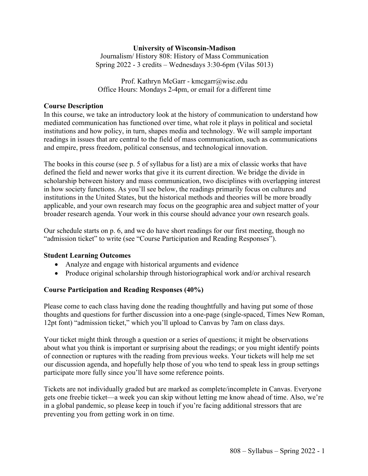## **University of Wisconsin-Madison**

Journalism/ History 808: History of Mass Communication Spring 2022 - 3 credits – Wednesdays 3:30-6pm (Vilas 5013)

Prof. Kathryn McGarr - kmcgarr@wisc.edu Office Hours: Mondays 2-4pm, or email for a different time

#### **Course Description**

In this course, we take an introductory look at the history of communication to understand how mediated communication has functioned over time, what role it plays in political and societal institutions and how policy, in turn, shapes media and technology. We will sample important readings in issues that are central to the field of mass communication, such as communications and empire, press freedom, political consensus, and technological innovation.

The books in this course (see p. 5 of syllabus for a list) are a mix of classic works that have defined the field and newer works that give it its current direction. We bridge the divide in scholarship between history and mass communication, two disciplines with overlapping interest in how society functions. As you'll see below, the readings primarily focus on cultures and institutions in the United States, but the historical methods and theories will be more broadly applicable, and your own research may focus on the geographic area and subject matter of your broader research agenda. Your work in this course should advance your own research goals.

Our schedule starts on p. 6, and we do have short readings for our first meeting, though no "admission ticket" to write (see "Course Participation and Reading Responses").

## **Student Learning Outcomes**

- Analyze and engage with historical arguments and evidence
- Produce original scholarship through historiographical work and/or archival research

## **Course Participation and Reading Responses (40%)**

Please come to each class having done the reading thoughtfully and having put some of those thoughts and questions for further discussion into a one-page (single-spaced, Times New Roman, 12pt font) "admission ticket," which you'll upload to Canvas by 7am on class days.

Your ticket might think through a question or a series of questions; it might be observations about what you think is important or surprising about the readings; or you might identify points of connection or ruptures with the reading from previous weeks. Your tickets will help me set our discussion agenda, and hopefully help those of you who tend to speak less in group settings participate more fully since you'll have some reference points.

Tickets are not individually graded but are marked as complete/incomplete in Canvas. Everyone gets one freebie ticket—a week you can skip without letting me know ahead of time. Also, we're in a global pandemic, so please keep in touch if you're facing additional stressors that are preventing you from getting work in on time.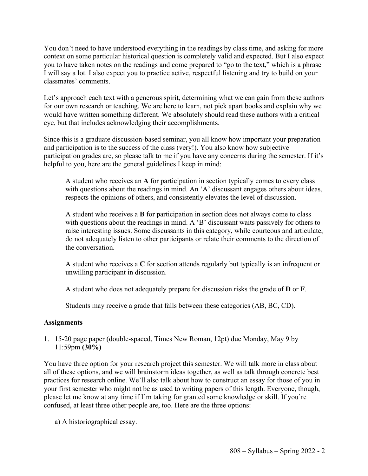You don't need to have understood everything in the readings by class time, and asking for more context on some particular historical question is completely valid and expected. But I also expect you to have taken notes on the readings and come prepared to "go to the text," which is a phrase I will say a lot. I also expect you to practice active, respectful listening and try to build on your classmates' comments.

Let's approach each text with a generous spirit, determining what we can gain from these authors for our own research or teaching. We are here to learn, not pick apart books and explain why we would have written something different. We absolutely should read these authors with a critical eye, but that includes acknowledging their accomplishments.

Since this is a graduate discussion-based seminar, you all know how important your preparation and participation is to the success of the class (very!). You also know how subjective participation grades are, so please talk to me if you have any concerns during the semester. If it's helpful to you, here are the general guidelines I keep in mind:

A student who receives an **A** for participation in section typically comes to every class with questions about the readings in mind. An 'A' discussant engages others about ideas, respects the opinions of others, and consistently elevates the level of discussion.

A student who receives a **B** for participation in section does not always come to class with questions about the readings in mind. A 'B' discussant waits passively for others to raise interesting issues. Some discussants in this category, while courteous and articulate, do not adequately listen to other participants or relate their comments to the direction of the conversation.

A student who receives a **C** for section attends regularly but typically is an infrequent or unwilling participant in discussion.

A student who does not adequately prepare for discussion risks the grade of **D** or **F**.

Students may receive a grade that falls between these categories (AB, BC, CD).

## **Assignments**

1. 15-20 page paper (double-spaced, Times New Roman, 12pt) due Monday, May 9 by 11:59pm **(30%)**

You have three option for your research project this semester. We will talk more in class about all of these options, and we will brainstorm ideas together, as well as talk through concrete best practices for research online. We'll also talk about how to construct an essay for those of you in your first semester who might not be as used to writing papers of this length. Everyone, though, please let me know at any time if I'm taking for granted some knowledge or skill. If you're confused, at least three other people are, too. Here are the three options:

a) A historiographical essay.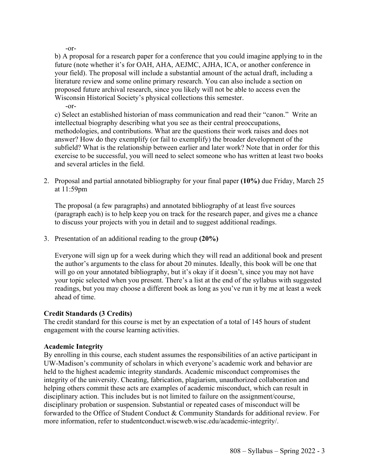-or-

b) A proposal for a research paper for a conference that you could imagine applying to in the future (note whether it's for OAH, AHA, AEJMC, AJHA, ICA, or another conference in your field). The proposal will include a substantial amount of the actual draft, including a literature review and some online primary research. You can also include a section on proposed future archival research, since you likely will not be able to access even the Wisconsin Historical Society's physical collections this semester.

-or-

c) Select an established historian of mass communication and read their "canon." Write an intellectual biography describing what you see as their central preoccupations, methodologies, and contributions. What are the questions their work raises and does not answer? How do they exemplify (or fail to exemplify) the broader development of the subfield? What is the relationship between earlier and later work? Note that in order for this exercise to be successful, you will need to select someone who has written at least two books and several articles in the field.

2. Proposal and partial annotated bibliography for your final paper **(10%)** due Friday, March 25 at 11:59pm

The proposal (a few paragraphs) and annotated bibliography of at least five sources (paragraph each) is to help keep you on track for the research paper, and gives me a chance to discuss your projects with you in detail and to suggest additional readings.

3. Presentation of an additional reading to the group **(20%)**

Everyone will sign up for a week during which they will read an additional book and present the author's arguments to the class for about 20 minutes. Ideally, this book will be one that will go on your annotated bibliography, but it's okay if it doesn't, since you may not have your topic selected when you present. There's a list at the end of the syllabus with suggested readings, but you may choose a different book as long as you've run it by me at least a week ahead of time.

## **Credit Standards (3 Credits)**

The credit standard for this course is met by an expectation of a total of 145 hours of student engagement with the course learning activities.

## **Academic Integrity**

By enrolling in this course, each student assumes the responsibilities of an active participant in UW-Madison's community of scholars in which everyone's academic work and behavior are held to the highest academic integrity standards. Academic misconduct compromises the integrity of the university. Cheating, fabrication, plagiarism, unauthorized collaboration and helping others commit these acts are examples of academic misconduct, which can result in disciplinary action. This includes but is not limited to failure on the assignment/course, disciplinary probation or suspension. Substantial or repeated cases of misconduct will be forwarded to the Office of Student Conduct & Community Standards for additional review. For more information, refer to studentconduct.wiscweb.wisc.edu/academic-integrity/.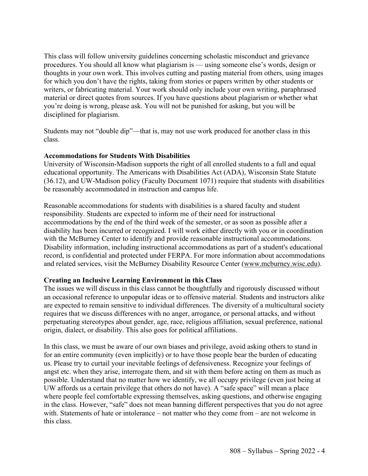This class will follow university guidelines concerning scholastic misconduct and grievance procedures. You should all know what plagiarism is — using someone else's words, design or thoughts in your own work. This involves cutting and pasting material from others, using images for which you don't have the rights, taking from stories or papers written by other students or writers, or fabricating material. Your work should only include your own writing, paraphrased material or direct quotes from sources. If you have questions about plagiarism or whether what you're doing is wrong, please ask. You will not be punished for asking, but you will be disciplined for plagiarism.

Students may not "double dip"—that is, may not use work produced for another class in this class.

## **Accommodations for Students With Disabilities**

University of Wisconsin-Madison supports the right of all enrolled students to a full and equal educational opportunity. The Americans with Disabilities Act (ADA), Wisconsin State Statute (36.12), and UW-Madison policy (Faculty Document 1071) require that students with disabilities be reasonably accommodated in instruction and campus life.

Reasonable accommodations for students with disabilities is a shared faculty and student responsibility. Students are expected to inform me of their need for instructional accommodations by the end of the third week of the semester, or as soon as possible after a disability has been incurred or recognized. I will work either directly with you or in coordination with the McBurney Center to identify and provide reasonable instructional accommodations. Disability information, including instructional accommodations as part of a student's educational record, is confidential and protected under FERPA. For more information about accommodations and related services, visit the McBurney Disability Resource Center (www.mcburney.wisc.edu).

## **Creating an Inclusive Learning Environment in this Class**

The issues we will discuss in this class cannot be thoughtfully and rigorously discussed without an occasional reference to unpopular ideas or to offensive material. Students and instructors alike are expected to remain sensitive to individual differences. The diversity of a multicultural society requires that we discuss differences with no anger, arrogance, or personal attacks, and without perpetuating stereotypes about gender, age, race, religious affiliation, sexual preference, national origin, dialect, or disability. This also goes for political affiliations.

In this class, we must be aware of our own biases and privilege, avoid asking others to stand in for an entire community (even implicitly) or to have those people bear the burden of educating us. Please try to curtail your inevitable feelings of defensiveness. Recognize your feelings of angst etc. when they arise, interrogate them, and sit with them before acting on them as much as possible. Understand that no matter how we identify, we all occupy privilege (even just being at UW affords us a certain privilege that others do not have). A "safe space" will mean a place where people feel comfortable expressing themselves, asking questions, and otherwise engaging in the class. However, "safe" does not mean banning different perspectives that you do not agree with. Statements of hate or intolerance – not matter who they come from – are not welcome in this class.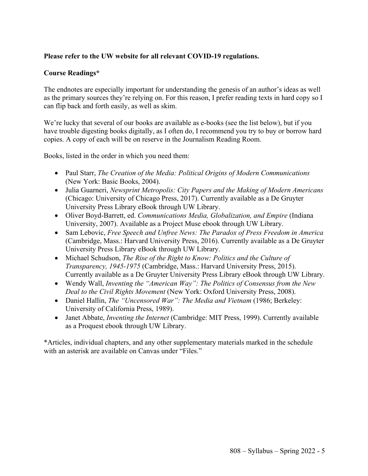# **Please refer to the UW website for all relevant COVID-19 regulations.**

# **Course Readings\***

The endnotes are especially important for understanding the genesis of an author's ideas as well as the primary sources they're relying on. For this reason, I prefer reading texts in hard copy so I can flip back and forth easily, as well as skim.

We're lucky that several of our books are available as e-books (see the list below), but if you have trouble digesting books digitally, as I often do, I recommend you try to buy or borrow hard copies. A copy of each will be on reserve in the Journalism Reading Room.

Books, listed in the order in which you need them:

- Paul Starr, *The Creation of the Media: Political Origins of Modern Communications* (New York: Basic Books, 2004).
- Julia Guarneri, *Newsprint Metropolis: City Papers and the Making of Modern Americans* (Chicago: University of Chicago Press, 2017). Currently available as a De Gruyter University Press Library eBook through UW Library.
- Oliver Boyd-Barrett, ed. *Communications Media, Globalization, and Empire* (Indiana University, 2007). Available as a Project Muse ebook through UW Library.
- Sam Lebovic, *Free Speech and Unfree News: The Paradox of Press Freedom in America* (Cambridge, Mass.: Harvard University Press, 2016). Currently available as a De Gruyter University Press Library eBook through UW Library.
- Michael Schudson, *The Rise of the Right to Know: Politics and the Culture of Transparency, 1945-1975* (Cambridge, Mass.: Harvard University Press, 2015). Currently available as a De Gruyter University Press Library eBook through UW Library.
- Wendy Wall, *Inventing the "American Way": The Politics of Consensus from the New Deal to the Civil Rights Movement* (New York: Oxford University Press, 2008).
- Daniel Hallin, *The "Uncensored War": The Media and Vietnam* (1986; Berkeley: University of California Press, 1989).
- Janet Abbate, *Inventing the Internet* (Cambridge: MIT Press, 1999). Currently available as a Proquest ebook through UW Library.

\*Articles, individual chapters, and any other supplementary materials marked in the schedule with an asterisk are available on Canvas under "Files."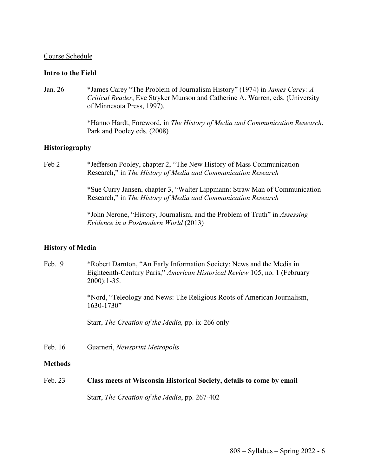#### Course Schedule

### **Intro to the Field**

Jan. 26 \*James Carey "The Problem of Journalism History" (1974) in *James Carey: A Critical Reader*, Eve Stryker Munson and Catherine A. Warren, eds. (University of Minnesota Press, 1997).

> \*Hanno Hardt, Foreword, in *The History of Media and Communication Research*, Park and Pooley eds. (2008)

### **Historiography**

Feb 2 \* Jefferson Pooley, chapter 2, "The New History of Mass Communication Research," in *The History of Media and Communication Research*

> \*Sue Curry Jansen, chapter 3, "Walter Lippmann: Straw Man of Communication Research," in *The History of Media and Communication Research*

\*John Nerone, "History, Journalism, and the Problem of Truth" in *Assessing Evidence in a Postmodern World* (2013)

#### **History of Media**

Feb. 9 \* Robert Darnton, "An Early Information Society: News and the Media in Eighteenth-Century Paris," *American Historical Review* 105, no. 1 (February 2000):1-35.

> \*Nord, "Teleology and News: The Religious Roots of American Journalism, 1630-1730"

Starr, *The Creation of the Media,* pp. ix-266 only

Feb. 16 Guarneri, *Newsprint Metropolis*

#### **Methods**

Feb. 23 **Class meets at Wisconsin Historical Society, details to come by email**

Starr, *The Creation of the Media*, pp. 267-402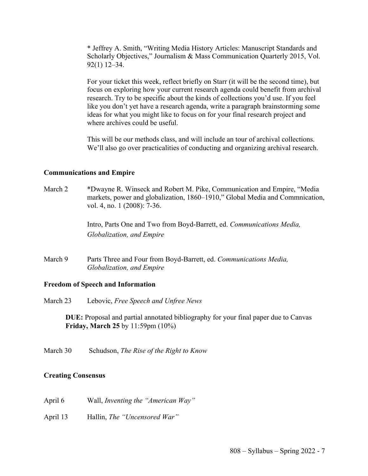\* Jeffrey A. Smith, "Writing Media History Articles: Manuscript Standards and Scholarly Objectives," Journalism & Mass Communication Quarterly 2015, Vol. 92(1) 12–34.

For your ticket this week, reflect briefly on Starr (it will be the second time), but focus on exploring how your current research agenda could benefit from archival research. Try to be specific about the kinds of collections you'd use. If you feel like you don't yet have a research agenda, write a paragraph brainstorming some ideas for what you might like to focus on for your final research project and where archives could be useful.

This will be our methods class, and will include an tour of archival collections. We'll also go over practicalities of conducting and organizing archival research.

#### **Communications and Empire**

March 2 \*Dwayne R. Winseck and Robert M. Pike, Communication and Empire, "Media markets, power and globalization, 1860–1910," Global Media and Commnication, vol. 4, no. 1 (2008): 7-36.

> Intro, Parts One and Two from Boyd-Barrett, ed. *Communications Media, Globalization, and Empire*

March 9 Parts Three and Four from Boyd-Barrett, ed. *Communications Media, Globalization, and Empire*

#### **Freedom of Speech and Information**

March 23 Lebovic, *Free Speech and Unfree News* 

**DUE:** Proposal and partial annotated bibliography for your final paper due to Canvas **Friday, March 25** by 11:59pm (10%)

March 30 Schudson, *The Rise of the Right to Know*

#### **Creating Consensus**

- April 6 Wall, *Inventing the "American Way"*
- April 13 Hallin, *The "Uncensored War"*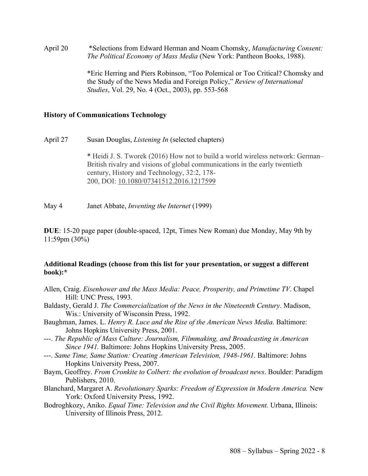April 20 \*Selections from Edward Herman and Noam Chomsky, *Manufacturing Consent: The Political Economy of Mass Media* (New York: Pantheon Books, 1988).

> \*Eric Herring and Piers Robinson, "Too Polemical or Too Critical? Chomsky and the Study of the News Media and Foreign Policy," *Review of International Studies*, Vol. 29, No. 4 (Oct., 2003), pp. 553-568

#### **History of Communications Technology**

April 27 Susan Douglas, *Listening In* (selected chapters)

\* Heidi J. S. Tworek (2016) How not to build a world wireless network: German– British rivalry and visions of global communications in the early twentieth century, History and Technology, 32:2, 178- 200, DOI: 10.1080/07341512.2016.1217599

May 4 Janet Abbate, *Inventing the Internet* (1999)

**DUE**: 15-20 page paper (double-spaced, 12pt, Times New Roman) due Monday, May 9th by 11:59pm (30%)

### **Additional Readings (choose from this list for your presentation, or suggest a different book):\***

- Allen, Craig. *Eisenhower and the Mass Media: Peace, Prosperity, and Primetime TV*. Chapel Hill: UNC Press, 1993.
- Baldasty, Gerald J. *The Commercialization of the News in the Nineteenth Century*. Madison, Wis.: University of Wisconsin Press, 1992.
- Baughman, James. L. *Henry R. Luce and the Rise of the American News Media*. Baltimore: Johns Hopkins University Press, 2001.
- ---. *The Republic of Mass Culture: Journalism, Filmmaking, and Broadcasting in American Since 1941.* Baltimore: Johns Hopkins University Press, 2005.
- ---. *Same Time, Same Station: Creating American Television, 1948-1961.* Baltimore: Johns Hopkins University Press, 2007.
- Baym, Geoffrey. *From Cronkite to Colbert: the evolution of broadcast news*. Boulder: Paradigm Publishers, 2010.
- Blanchard, Margaret A. *Revolutionary Sparks: Freedom of Expression in Modern America.* New York: Oxford University Press, 1992.
- Bodroghkozy, Aniko. *Equal Time: Television and the Civil Rights Movement.* Urbana, Illinois: University of Illinois Press, 2012.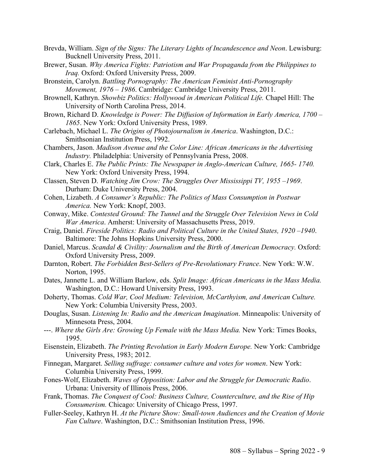- Brevda, William. *Sign of the Signs: The Literary Lights of Incandescence and Neon*. Lewisburg: Bucknell University Press, 2011.
- Brewer, Susan. *Why America Fights: Patriotism and War Propaganda from the Philippines to Iraq.* Oxford: Oxford University Press, 2009.
- Bronstein, Carolyn. *Battling Pornography: The American Feminist Anti-Pornography Movement, 1976 – 1986*. Cambridge: Cambridge University Press, 2011.
- Brownell, Kathryn. *Showbiz Politics: Hollywood in American Political Life.* Chapel Hill: The University of North Carolina Press, 2014.
- Brown, Richard D. *Knowledge is Power: The Diffusion of Information in Early America, 1700 – 1865*. New York: Oxford University Press, 1989.
- Carlebach, Michael L. *The Origins of Photojournalism in America*. Washington, D.C.: Smithsonian Institution Press, 1992.
- Chambers, Jason. *Madison Avenue and the Color Line: African Americans in the Advertising Industry.* Philadelphia: University of Pennsylvania Press, 2008.
- Clark, Charles E. *The Public Prints: The Newspaper in Anglo-American Culture, 1665- 1740.*  New York: Oxford University Press, 1994.
- Classen, Steven D. *Watching Jim Crow: The Struggles Over Mississippi TV, 1955 –1969*. Durham: Duke University Press, 2004.
- Cohen, Lizabeth. *A Consumer's Republic: The Politics of Mass Consumption in Postwar America.* New York: Knopf, 2003.
- Conway, Mike. *Contested Ground: The Tunnel and the Struggle Over Television News in Cold War America*. Amherst: University of Massachusetts Press, 2019.
- Craig, Daniel. *Fireside Politics: Radio and Political Culture in the United States, 1920 –1940*. Baltimore: The Johns Hopkins University Press, 2000.
- Daniel, Marcus. *Scandal & Civility: Journalism and the Birth of American Democracy.* Oxford: Oxford University Press, 2009.
- Darnton, Robert. *The Forbidden Best-Sellers of Pre-Revolutionary France*. New York: W.W. Norton, 1995.
- Dates, Jannette L. and William Barlow, eds. *Split Image: African Americans in the Mass Media.*  Washington, D.C.: Howard University Press, 1993.
- Doherty, Thomas. *Cold War, Cool Medium: Television, McCarthyism, and American Culture.*  New York: Columbia University Press, 2003.
- Douglas, Susan. *Listening In: Radio and the American Imagination*. Minneapolis: University of Minnesota Press, 2004.
- ---. *Where the Girls Are: Growing Up Female with the Mass Media.* New York: Times Books, 1995.
- Eisenstein, Elizabeth. *The Printing Revolution in Early Modern Europe.* New York: Cambridge University Press, 1983; 2012.
- Finnegan, Margaret. *Selling suffrage: consumer culture and votes for women*. New York: Columbia University Press, 1999.
- Fones-Wolf, Elizabeth. *Waves of Opposition: Labor and the Struggle for Democratic Radio*. Urbana: University of Illinois Press, 2006.
- Frank, Thomas. *The Conquest of Cool: Business Culture, Counterculture, and the Rise of Hip Consumerism.* Chicago: University of Chicago Press, 1997.
- Fuller-Seeley, Kathryn H. *At the Picture Show: Small-town Audiences and the Creation of Movie Fan Culture*. Washington, D.C.: Smithsonian Institution Press, 1996.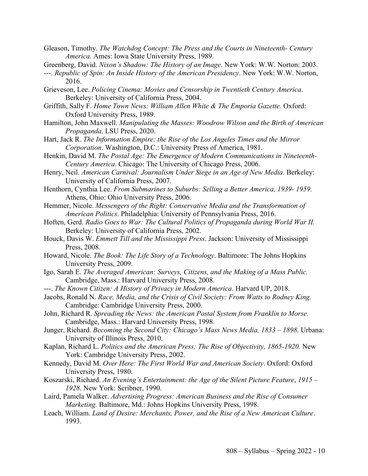- Gleason, Timothy. *The Watchdog Concept: The Press and the Courts in Nineteenth- Century America.* Ames: Iowa State University Press, 1989.
- Greenberg, David. *Nixon's Shadow: The History of an Image*. New York: W.W. Norton: 2003.
- ---. *Republic of Spin: An Inside History of the American Presidency*. New York: W.W. Norton, 2016.
- Grieveson, Lee. *Policing Cinema: Movies and Censorship in Twentieth Century America*. Berkeley: University of California Press, 2004.
- Griffith, Sally F. *Home Town News: William Allen White & The Emporia Gazette.* Oxford: Oxford University Press, 1989.
- Hamilton, John Maxwell. *Manipulating the Masses: Woodrow Wilson and the Birth of American Propaganda*. LSU Press, 2020.
- Hart, Jack R. *The Information Empire: the Rise of the Los Angeles Times and the Mirror Corporation*. Washington, D.C.: University Press of America, 1981.
- Henkin, David M. *The Postal Age: The Emergence of Modern Communications in Nineteenth-Century America*. Chicago: The University of Chicago Press, 2006.
- Henry, Neil. *American Carnival: Journalism Under Siege in an Age of New Media*. Berkeley: University of California Press, 2007.
- Henthorn, Cynthia Lee. *From Submarines to Suburbs: Selling a Better America, 1939- 1959.*  Athens, Ohio: Ohio University Press, 2006.
- Hemmer, Nicole. *Messengers of the Right: Conservative Media and the Transformation of American Politics*. Philadelphia: University of Pennsylvania Press, 2016.
- Hoften, Gerd. *Radio Goes to War: The Cultural Politics of Propaganda during World War II.*  Berkeley: University of California Press, 2002.
- Houck, Davis W. *Emmett Till and the Mississippi Press*. Jackson: University of Mississippi Press, 2008.
- Howard, Nicole. *The Book: The Life Story of a Technology*. Baltimore: The Johns Hopkins University Press, 2009.
- Igo, Sarah E. *The Averaged American: Surveys, Citizens, and the Making of a Mass Public.* Cambridge, Mass.: Harvard University Press, 2008.
- ---. *The Known Citizen: A History of Privacy in Modern America*. Harvard UP, 2018.
- Jacobs, Ronald N. *Race, Media, and the Crisis of Civil Society: From Watts to Rodney King.*  Cambridge: Cambridge University Press, 2000.
- John, Richard R. *Spreading the News: the American Postal System from Franklin to Morse*. Cambridge, Mass.: Harvard University Press, 1998.
- Junger, Richard. *Becoming the Second City: Chicago's Mass News Media, 1833 – 1898*. Urbana: University of Illinois Press, 2010.
- Kaplan, Richard L. *Politics and the American Press; The Rise of Objectivity, 1865-1920.* New York: Cambridge University Press, 2002.
- Kennedy, David M. *Over Here: The First World War and American Society*. Oxford: Oxford University Press, 1980.
- Koszarski, Richard. *An Evening's Entertainment: the Age of the Silent Picture Feature*, *1915 – 1928*. New York: Scribner, 1990.
- Laird, Pamela Walker. *Advertising Progress: American Business and the Rise of Consumer Marketing.* Baltimore, Md.: Johns Hopkins University Press, 1998.
- Leach, William. *Land of Desire: Merchants, Power, and the Rise of a New American Culture*. 1993.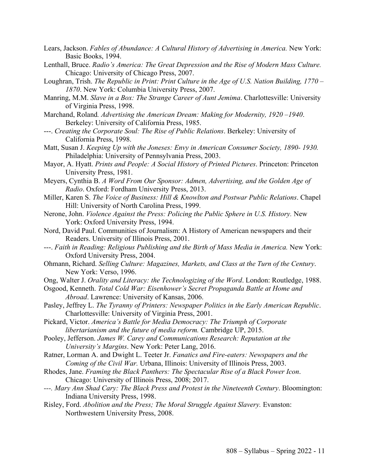- Lears, Jackson. *Fables of Abundance: A Cultural History of Advertising in America*. New York: Basic Books, 1994.
- Lenthall, Bruce. *Radio's America: The Great Depression and the Rise of Modern Mass Culture.*  Chicago: University of Chicago Press, 2007.
- Loughran, Trish. *The Republic in Print: Print Culture in the Age of U.S. Nation Building, 1770 – 1870*. New York: Columbia University Press, 2007.
- Manring, M.M. *Slave in a Box: The Strange Career of Aunt Jemima*. Charlottesville: University of Virginia Press, 1998.
- Marchand, Roland*. Advertising the American Dream: Making for Modernity, 1920 –1940*. Berkeley: University of California Press, 1985.
- ---. *Creating the Corporate Soul: The Rise of Public Relations*. Berkeley: University of California Press, 1998.
- Matt, Susan J. *Keeping Up with the Joneses: Envy in American Consumer Society, 1890- 1930.*  Philadelphia: University of Pennsylvania Press, 2003.
- Mayor, A. Hyatt. *Prints and People: A Social History of Printed Pictures*. Princeton: Princeton University Press, 1981.
- Meyers, Cynthia B. *A Word From Our Sponsor: Admen, Advertising, and the Golden Age of Radio*. Oxford: Fordham University Press, 2013.
- Miller, Karen S. *The Voice of Business: Hill & Knowlton and Postwar Public Relations*. Chapel Hill: University of North Carolina Press, 1999.
- Nerone, John. *Violence Against the Press: Policing the Public Sphere in U.S. History.* New York: Oxford University Press, 1994.
- Nord, David Paul. Communities of Journalism: A History of American newspapers and their Readers. University of Illinois Press, 2001.
- ---. *Faith in Reading: Religious Publishing and the Birth of Mass Media in America.* New York: Oxford University Press, 2004.
- Ohmann, Richard. *Selling Culture: Magazines, Markets, and Class at the Turn of the Century*. New York: Verso, 1996.
- Ong, Walter J. *Orality and Literacy: the Technologizing of the Word*. London: Routledge, 1988.
- Osgood, Kenneth. *Total Cold War: Eisenhower's Secret Propaganda Battle at Home and Abroad*. Lawrence: University of Kansas, 2006.
- Pasley, Jeffrey L. *The Tyranny of Printers: Newspaper Politics in the Early American Republic*. Charlottesville: University of Virginia Press, 2001.
- Pickard, Victor. *America's Battle for Media Democracy: The Triumph of Corporate libertarianism and the future of media reform.* Cambridge UP, 2015.
- Pooley, Jefferson. *James W. Carey and Communications Research: Reputation at the University's Margins*. New York: Peter Lang, 2016.
- Ratner, Lorman A. and Dwight L. Teeter Jr. *Fanatics and Fire-eaters: Newspapers and the Coming of the Civil War.* Urbana, Illinois: University of Illinois Press, 2003.
- Rhodes, Jane. *Framing the Black Panthers: The Spectacular Rise of a Black Power Icon*. Chicago: University of Illinois Press, 2008; 2017.
- *---. Mary Ann Shad Cary: The Black Press and Protest in the Nineteenth Century*. Bloomington: Indiana University Press, 1998.
- Risley, Ford. *Abolition and the Press; The Moral Struggle Against Slavery.* Evanston: Northwestern University Press, 2008.